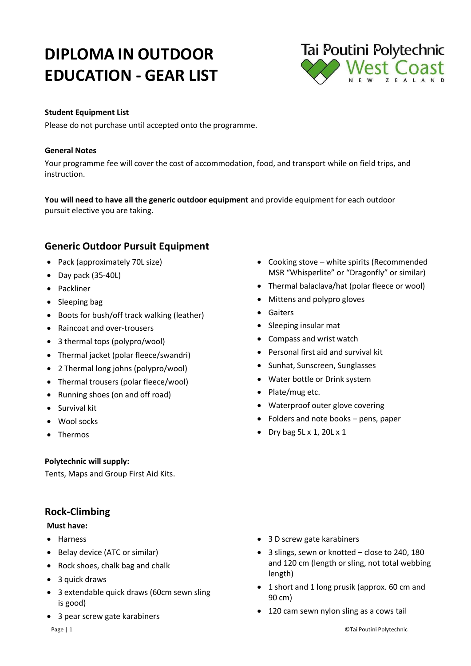# **DIPLOMA IN OUTDOOR EDUCATION - GEAR LIST**



#### **Student Equipment List**

Please do not purchase until accepted onto the programme.

#### **General Notes**

Your programme fee will cover the cost of accommodation, food, and transport while on field trips, and instruction.

**You will need to have all the generic outdoor equipment** and provide equipment for each outdoor pursuit elective you are taking.

# **Generic Outdoor Pursuit Equipment**

- Pack (approximately 70L size)
- Day pack (35-40L)
- Packliner
- Sleeping bag
- Boots for bush/off track walking (leather)
- Raincoat and over-trousers
- 3 thermal tops (polypro/wool)
- Thermal jacket (polar fleece/swandri)
- 2 Thermal long johns (polypro/wool)
- Thermal trousers (polar fleece/wool)
- Running shoes (on and off road)
- **•** Survival kit
- Wool socks
- Thermos

#### **Polytechnic will supply:**

Tents, Maps and Group First Aid Kits.

# **Rock-Climbing**

#### **Must have:**

- Harness
- Belay device (ATC or similar)
- Rock shoes, chalk bag and chalk
- 3 quick draws
- 3 extendable quick draws (60cm sewn sling is good)
- 3 pear screw gate karabiners
- Cooking stove white spirits (Recommended MSR "Whisperlite" or "Dragonfly" or similar)
- Thermal balaclava/hat (polar fleece or wool)
- Mittens and polypro gloves
- **•** Gaiters
- Sleeping insular mat
- Compass and wrist watch
- Personal first aid and survival kit
- Sunhat, Sunscreen, Sunglasses
- Water bottle or Drink system
- Plate/mug etc.
- Waterproof outer glove covering
- Folders and note books pens, paper
- Dry bag  $5L \times 1$ , 20 $L \times 1$

- 3 D screw gate karabiners
- 3 slings, sewn or knotted close to 240, 180 and 120 cm (length or sling, not total webbing length)
- 1 short and 1 long prusik (approx. 60 cm and 90 cm)
- 120 cam sewn nylon sling as a cows tail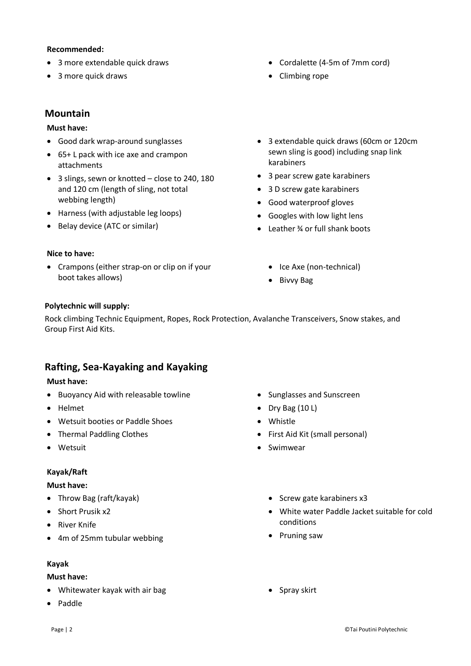#### **Recommended:**

- 3 more extendable quick draws
- 3 more quick draws

# **Mountain**

## **Must have:**

- Good dark wrap-around sunglasses
- 65+ L pack with ice axe and crampon attachments
- 3 slings, sewn or knotted close to 240, 180 and 120 cm (length of sling, not total webbing length)
- Harness (with adjustable leg loops)
- Belay device (ATC or similar)

#### **Nice to have:**

 Crampons (either strap-on or clip on if your boot takes allows)

- Cordalette (4-5m of 7mm cord)
- Climbing rope
- 3 extendable quick draws (60cm or 120cm sewn sling is good) including snap link karabiners
- 3 pear screw gate karabiners
- 3 D screw gate karabiners
- Good waterproof gloves
- Googles with low light lens
- Leather ¾ or full shank boots
	- Ice Axe (non-technical)
	- Bivvy Bag

#### **Polytechnic will supply:**

Rock climbing Technic Equipment, Ropes, Rock Protection, Avalanche Transceivers, Snow stakes, and Group First Aid Kits.

# **Rafting, Sea-Kayaking and Kayaking**

#### **Must have:**

- Buoyancy Aid with releasable towline
- Helmet
- Wetsuit booties or Paddle Shoes
- Thermal Paddling Clothes
- Wetsuit

## **Kayak/Raft**

#### **Must have:**

- Throw Bag (raft/kayak)
- Short Prusik x2
- River Knife
- 4m of 25mm tubular webbing

#### **Kayak**

#### **Must have:**

- Whitewater kayak with air bag
- Paddle
- Sunglasses and Sunscreen
- $\bullet$  Dry Bag (10 L)
- Whistle
- First Aid Kit (small personal)
- Swimwear
	- Screw gate karabiners x3
	- White water Paddle Jacket suitable for cold conditions
	- Pruning saw
	- Spray skirt